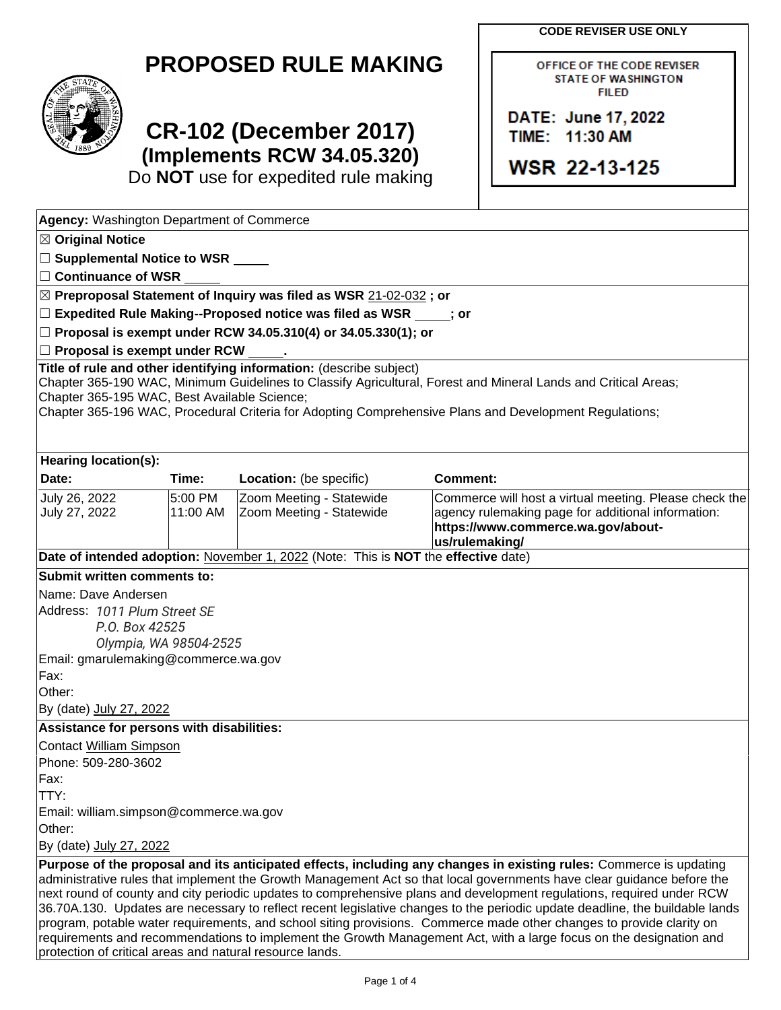**CODE REVISER USE ONLY**

OFFICE OF THE CODE REVISER **STATE OF WASHINGTON FILED** 

DATE: June 17, 2022 TIME: 11:30 AM

**WSR 22-13-125** 

| <b>PROPOSED RULE MAKING</b> |  |  |
|-----------------------------|--|--|
|-----------------------------|--|--|



## **CR-102 (December 2017) (Implements RCW 34.05.320)**

Do **NOT** use for expedited rule making

| <b>Agency: Washington Department of Commerce</b>                                                                                                                                                                                             |                        |                                                                                           |                                                                                                                |  |  |
|----------------------------------------------------------------------------------------------------------------------------------------------------------------------------------------------------------------------------------------------|------------------------|-------------------------------------------------------------------------------------------|----------------------------------------------------------------------------------------------------------------|--|--|
| <b>⊠ Original Notice</b>                                                                                                                                                                                                                     |                        |                                                                                           |                                                                                                                |  |  |
| □ Supplemental Notice to WSR _____                                                                                                                                                                                                           |                        |                                                                                           |                                                                                                                |  |  |
| $\Box$ Continuance of WSR                                                                                                                                                                                                                    |                        |                                                                                           |                                                                                                                |  |  |
|                                                                                                                                                                                                                                              |                        | ⊠ Preproposal Statement of Inquiry was filed as WSR 21-02-032; or                         |                                                                                                                |  |  |
|                                                                                                                                                                                                                                              |                        | $\square$ Expedited Rule Making--Proposed notice was filed as WSR $\rule{1em}{0.15mm}$ or |                                                                                                                |  |  |
|                                                                                                                                                                                                                                              |                        | $\Box$ Proposal is exempt under RCW 34.05.310(4) or 34.05.330(1); or                      |                                                                                                                |  |  |
| $\Box$ Proposal is exempt under RCW                                                                                                                                                                                                          |                        |                                                                                           |                                                                                                                |  |  |
|                                                                                                                                                                                                                                              |                        | Title of rule and other identifying information: (describe subject)                       |                                                                                                                |  |  |
| Chapter 365-195 WAC, Best Available Science;                                                                                                                                                                                                 |                        |                                                                                           | Chapter 365-190 WAC, Minimum Guidelines to Classify Agricultural, Forest and Mineral Lands and Critical Areas; |  |  |
|                                                                                                                                                                                                                                              |                        |                                                                                           | Chapter 365-196 WAC, Procedural Criteria for Adopting Comprehensive Plans and Development Regulations;         |  |  |
|                                                                                                                                                                                                                                              |                        |                                                                                           |                                                                                                                |  |  |
|                                                                                                                                                                                                                                              |                        |                                                                                           |                                                                                                                |  |  |
| <b>Hearing location(s):</b>                                                                                                                                                                                                                  |                        |                                                                                           |                                                                                                                |  |  |
| Date:                                                                                                                                                                                                                                        | Time:                  | Location: (be specific)                                                                   | <b>Comment:</b>                                                                                                |  |  |
| July 26, 2022                                                                                                                                                                                                                                | 5:00 PM                | Zoom Meeting - Statewide                                                                  | Commerce will host a virtual meeting. Please check the                                                         |  |  |
| July 27, 2022                                                                                                                                                                                                                                | 11:00 AM               | Zoom Meeting - Statewide                                                                  | agency rulemaking page for additional information:<br>https://www.commerce.wa.gov/about-                       |  |  |
|                                                                                                                                                                                                                                              |                        |                                                                                           | us/rulemaking/                                                                                                 |  |  |
|                                                                                                                                                                                                                                              |                        | Date of intended adoption: November 1, 2022 (Note: This is NOT the effective date)        |                                                                                                                |  |  |
| Submit written comments to:                                                                                                                                                                                                                  |                        |                                                                                           |                                                                                                                |  |  |
| Name: Dave Andersen                                                                                                                                                                                                                          |                        |                                                                                           |                                                                                                                |  |  |
| Address: 1011 Plum Street SE                                                                                                                                                                                                                 |                        |                                                                                           |                                                                                                                |  |  |
| P.O. Box 42525                                                                                                                                                                                                                               |                        |                                                                                           |                                                                                                                |  |  |
|                                                                                                                                                                                                                                              | Olympia, WA 98504-2525 |                                                                                           |                                                                                                                |  |  |
| Email: gmarulemaking@commerce.wa.gov<br>Fax:                                                                                                                                                                                                 |                        |                                                                                           |                                                                                                                |  |  |
| Other:                                                                                                                                                                                                                                       |                        |                                                                                           |                                                                                                                |  |  |
| By (date) July 27, 2022                                                                                                                                                                                                                      |                        |                                                                                           |                                                                                                                |  |  |
| Assistance for persons with disabilities:                                                                                                                                                                                                    |                        |                                                                                           |                                                                                                                |  |  |
| <b>Contact William Simpson</b>                                                                                                                                                                                                               |                        |                                                                                           |                                                                                                                |  |  |
| Phone: 509-280-3602                                                                                                                                                                                                                          |                        |                                                                                           |                                                                                                                |  |  |
| ⊦ах:                                                                                                                                                                                                                                         |                        |                                                                                           |                                                                                                                |  |  |
| TTY:                                                                                                                                                                                                                                         |                        |                                                                                           |                                                                                                                |  |  |
| Email: william.simpson@commerce.wa.gov                                                                                                                                                                                                       |                        |                                                                                           |                                                                                                                |  |  |
| Other:                                                                                                                                                                                                                                       |                        |                                                                                           |                                                                                                                |  |  |
| By (date) July 27, 2022                                                                                                                                                                                                                      |                        |                                                                                           |                                                                                                                |  |  |
| Purpose of the proposal and its anticipated effects, including any changes in existing rules: Commerce is updating<br>administrative rules that implement the Growth Management Act so that local governments have clear guidance before the |                        |                                                                                           |                                                                                                                |  |  |
| next round of county and city periodic updates to comprehensive plans and development regulations, required under RCW                                                                                                                        |                        |                                                                                           |                                                                                                                |  |  |
| 36.70A.130. Updates are necessary to reflect recent legislative changes to the periodic update deadline, the buildable lands                                                                                                                 |                        |                                                                                           |                                                                                                                |  |  |
| program, potable water requirements, and school siting provisions. Commerce made other changes to provide clarity on                                                                                                                         |                        |                                                                                           |                                                                                                                |  |  |
| requirements and recommendations to implement the Growth Management Act, with a large focus on the designation and                                                                                                                           |                        |                                                                                           |                                                                                                                |  |  |

protection of critical areas and natural resource lands.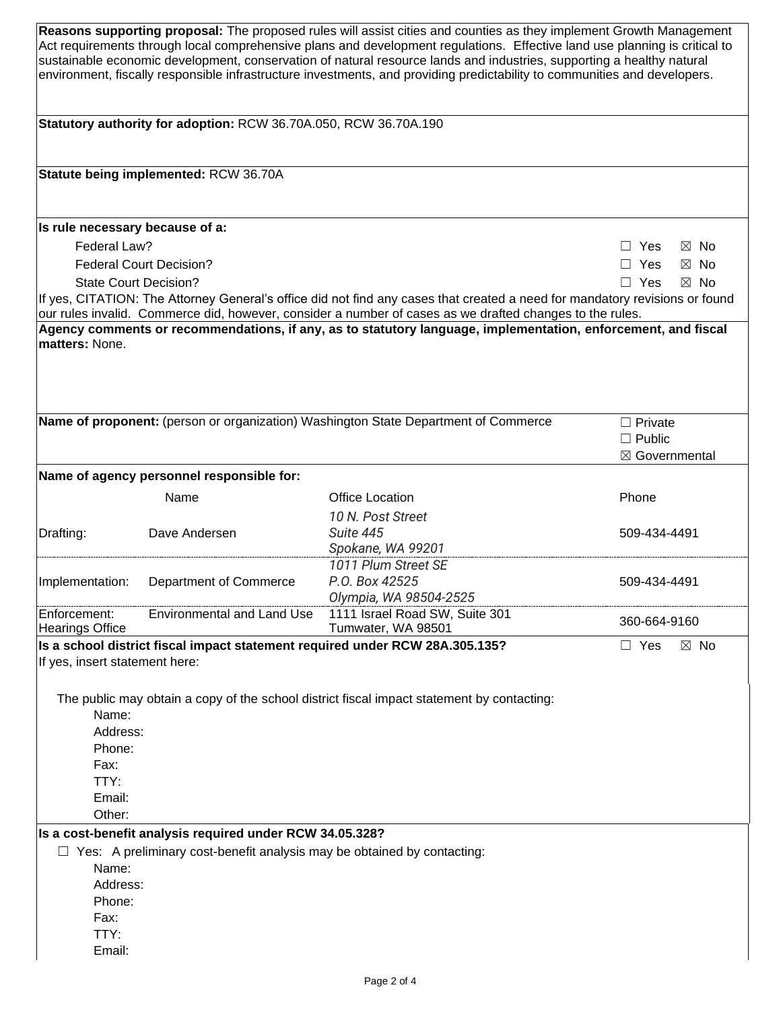| Reasons supporting proposal: The proposed rules will assist cities and counties as they implement Growth Management<br>Act requirements through local comprehensive plans and development regulations. Effective land use planning is critical to<br>sustainable economic development, conservation of natural resource lands and industries, supporting a healthy natural<br>environment, fiscally responsible infrastructure investments, and providing predictability to communities and developers. |                                                                                |                                                                                                                                                                                                                                         |                              |  |  |
|---------------------------------------------------------------------------------------------------------------------------------------------------------------------------------------------------------------------------------------------------------------------------------------------------------------------------------------------------------------------------------------------------------------------------------------------------------------------------------------------------------|--------------------------------------------------------------------------------|-----------------------------------------------------------------------------------------------------------------------------------------------------------------------------------------------------------------------------------------|------------------------------|--|--|
|                                                                                                                                                                                                                                                                                                                                                                                                                                                                                                         | Statutory authority for adoption: RCW 36.70A.050, RCW 36.70A.190               |                                                                                                                                                                                                                                         |                              |  |  |
| Statute being implemented: RCW 36.70A                                                                                                                                                                                                                                                                                                                                                                                                                                                                   |                                                                                |                                                                                                                                                                                                                                         |                              |  |  |
| Is rule necessary because of a:                                                                                                                                                                                                                                                                                                                                                                                                                                                                         |                                                                                |                                                                                                                                                                                                                                         |                              |  |  |
| Federal Law?                                                                                                                                                                                                                                                                                                                                                                                                                                                                                            |                                                                                |                                                                                                                                                                                                                                         | $\boxtimes$ No<br>⊔ Yes      |  |  |
|                                                                                                                                                                                                                                                                                                                                                                                                                                                                                                         | <b>Federal Court Decision?</b>                                                 |                                                                                                                                                                                                                                         | $\Box$ Yes<br>$\boxtimes$ No |  |  |
| <b>State Court Decision?</b>                                                                                                                                                                                                                                                                                                                                                                                                                                                                            |                                                                                |                                                                                                                                                                                                                                         | $\Box$ Yes<br>$\boxtimes$ No |  |  |
|                                                                                                                                                                                                                                                                                                                                                                                                                                                                                                         |                                                                                | If yes, CITATION: The Attorney General's office did not find any cases that created a need for mandatory revisions or found<br>our rules invalid. Commerce did, however, consider a number of cases as we drafted changes to the rules. |                              |  |  |
|                                                                                                                                                                                                                                                                                                                                                                                                                                                                                                         |                                                                                | Agency comments or recommendations, if any, as to statutory language, implementation, enforcement, and fiscal                                                                                                                           |                              |  |  |
| matters: None.                                                                                                                                                                                                                                                                                                                                                                                                                                                                                          |                                                                                |                                                                                                                                                                                                                                         |                              |  |  |
|                                                                                                                                                                                                                                                                                                                                                                                                                                                                                                         |                                                                                |                                                                                                                                                                                                                                         |                              |  |  |
|                                                                                                                                                                                                                                                                                                                                                                                                                                                                                                         |                                                                                | Name of proponent: (person or organization) Washington State Department of Commerce                                                                                                                                                     | $\Box$ Private               |  |  |
|                                                                                                                                                                                                                                                                                                                                                                                                                                                                                                         |                                                                                |                                                                                                                                                                                                                                         | $\Box$ Public                |  |  |
|                                                                                                                                                                                                                                                                                                                                                                                                                                                                                                         |                                                                                |                                                                                                                                                                                                                                         | ⊠ Governmental               |  |  |
|                                                                                                                                                                                                                                                                                                                                                                                                                                                                                                         | Name of agency personnel responsible for:                                      |                                                                                                                                                                                                                                         |                              |  |  |
|                                                                                                                                                                                                                                                                                                                                                                                                                                                                                                         | Name                                                                           | <b>Office Location</b>                                                                                                                                                                                                                  | Phone                        |  |  |
|                                                                                                                                                                                                                                                                                                                                                                                                                                                                                                         |                                                                                | 10 N. Post Street                                                                                                                                                                                                                       |                              |  |  |
| Drafting:                                                                                                                                                                                                                                                                                                                                                                                                                                                                                               | Dave Andersen                                                                  | Suite 445                                                                                                                                                                                                                               | 509-434-4491                 |  |  |
|                                                                                                                                                                                                                                                                                                                                                                                                                                                                                                         |                                                                                | Spokane, WA 99201                                                                                                                                                                                                                       |                              |  |  |
|                                                                                                                                                                                                                                                                                                                                                                                                                                                                                                         |                                                                                | 1011 Plum Street SE                                                                                                                                                                                                                     |                              |  |  |
| Implementation:                                                                                                                                                                                                                                                                                                                                                                                                                                                                                         | Department of Commerce                                                         | P.O. Box 42525                                                                                                                                                                                                                          | 509-434-4491                 |  |  |
|                                                                                                                                                                                                                                                                                                                                                                                                                                                                                                         |                                                                                | Olympia, WA 98504-2525                                                                                                                                                                                                                  |                              |  |  |
| Enforcement:                                                                                                                                                                                                                                                                                                                                                                                                                                                                                            | <b>Environmental and Land Use</b>                                              | 1111 Israel Road SW, Suite 301                                                                                                                                                                                                          | 360-664-9160                 |  |  |
| <b>Hearings Office</b>                                                                                                                                                                                                                                                                                                                                                                                                                                                                                  |                                                                                | Tumwater, WA 98501                                                                                                                                                                                                                      | $\Box$ Yes                   |  |  |
| If yes, insert statement here:                                                                                                                                                                                                                                                                                                                                                                                                                                                                          |                                                                                | Is a school district fiscal impact statement required under RCW 28A.305.135?                                                                                                                                                            | $\boxtimes$ No               |  |  |
|                                                                                                                                                                                                                                                                                                                                                                                                                                                                                                         |                                                                                |                                                                                                                                                                                                                                         |                              |  |  |
| The public may obtain a copy of the school district fiscal impact statement by contacting:<br>Name:                                                                                                                                                                                                                                                                                                                                                                                                     |                                                                                |                                                                                                                                                                                                                                         |                              |  |  |
| Address:                                                                                                                                                                                                                                                                                                                                                                                                                                                                                                |                                                                                |                                                                                                                                                                                                                                         |                              |  |  |
| Phone:                                                                                                                                                                                                                                                                                                                                                                                                                                                                                                  |                                                                                |                                                                                                                                                                                                                                         |                              |  |  |
| Fax:                                                                                                                                                                                                                                                                                                                                                                                                                                                                                                    |                                                                                |                                                                                                                                                                                                                                         |                              |  |  |
| TTY:                                                                                                                                                                                                                                                                                                                                                                                                                                                                                                    |                                                                                |                                                                                                                                                                                                                                         |                              |  |  |
| Email:                                                                                                                                                                                                                                                                                                                                                                                                                                                                                                  |                                                                                |                                                                                                                                                                                                                                         |                              |  |  |
| Other:                                                                                                                                                                                                                                                                                                                                                                                                                                                                                                  |                                                                                |                                                                                                                                                                                                                                         |                              |  |  |
|                                                                                                                                                                                                                                                                                                                                                                                                                                                                                                         | Is a cost-benefit analysis required under RCW 34.05.328?                       |                                                                                                                                                                                                                                         |                              |  |  |
|                                                                                                                                                                                                                                                                                                                                                                                                                                                                                                         | $\Box$ Yes: A preliminary cost-benefit analysis may be obtained by contacting: |                                                                                                                                                                                                                                         |                              |  |  |
| Name:                                                                                                                                                                                                                                                                                                                                                                                                                                                                                                   |                                                                                |                                                                                                                                                                                                                                         |                              |  |  |
| Address:                                                                                                                                                                                                                                                                                                                                                                                                                                                                                                |                                                                                |                                                                                                                                                                                                                                         |                              |  |  |
| Phone:                                                                                                                                                                                                                                                                                                                                                                                                                                                                                                  |                                                                                |                                                                                                                                                                                                                                         |                              |  |  |
| Fax:                                                                                                                                                                                                                                                                                                                                                                                                                                                                                                    |                                                                                |                                                                                                                                                                                                                                         |                              |  |  |
| TTY:                                                                                                                                                                                                                                                                                                                                                                                                                                                                                                    | Email:                                                                         |                                                                                                                                                                                                                                         |                              |  |  |
|                                                                                                                                                                                                                                                                                                                                                                                                                                                                                                         |                                                                                |                                                                                                                                                                                                                                         |                              |  |  |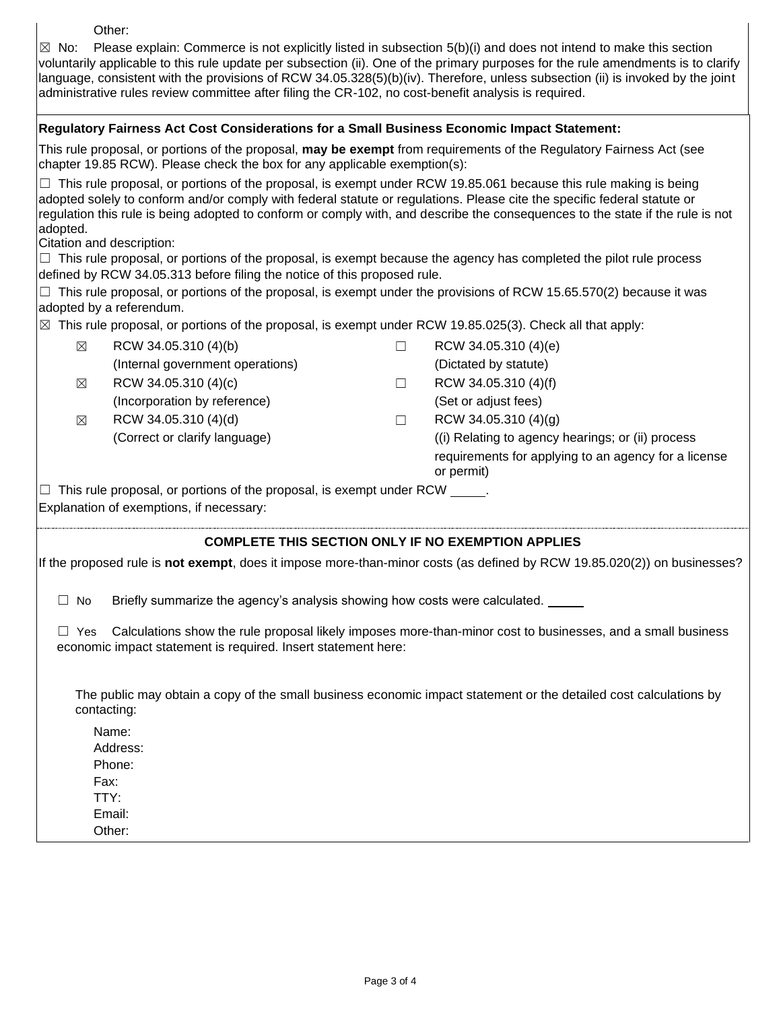Other:

 $\boxtimes$  No: Please explain: Commerce is not explicitly listed in subsection 5(b)(i) and does not intend to make this section voluntarily applicable to this rule update per subsection (ii). One of the primary purposes for the rule amendments is to clarify language, consistent with the provisions of RCW 34.05.328(5)(b)(iv). Therefore, unless subsection (ii) is invoked by the joint administrative rules review committee after filing the CR-102, no cost-benefit analysis is required.

## **Regulatory Fairness Act Cost Considerations for a Small Business Economic Impact Statement:**

This rule proposal, or portions of the proposal, **may be exempt** from requirements of the Regulatory Fairness Act (see chapter 19.85 RCW). Please check the box for any applicable exemption(s):

 $\Box$  This rule proposal, or portions of the proposal, is exempt under RCW 19.85.061 because this rule making is being adopted solely to conform and/or comply with federal statute or regulations. Please cite the specific federal statute or regulation this rule is being adopted to conform or comply with, and describe the consequences to the state if the rule is not adopted.

Citation and description:

 $\Box$  This rule proposal, or portions of the proposal, is exempt because the agency has completed the pilot rule process defined by RCW 34.05.313 before filing the notice of this proposed rule.

 $\Box$  This rule proposal, or portions of the proposal, is exempt under the provisions of RCW 15.65.570(2) because it was adopted by a referendum.

 $\boxtimes$  This rule proposal, or portions of the proposal, is exempt under RCW 19.85.025(3). Check all that apply:

|                                                                                      | $\boxtimes$ | RCW 34.05.310 (4)(b)                     |  | RCW 34.05.310 (4)(e)                                               |  |  |  |
|--------------------------------------------------------------------------------------|-------------|------------------------------------------|--|--------------------------------------------------------------------|--|--|--|
|                                                                                      |             | (Internal government operations)         |  | (Dictated by statute)                                              |  |  |  |
|                                                                                      | ⊠           | RCW 34.05.310 (4)(c)                     |  | RCW 34.05.310 (4)(f)                                               |  |  |  |
|                                                                                      |             | (Incorporation by reference)             |  | (Set or adjust fees)                                               |  |  |  |
|                                                                                      | ⊠           | RCW 34.05.310 (4)(d)                     |  | RCW 34.05.310 (4)(g)                                               |  |  |  |
|                                                                                      |             | (Correct or clarify language)            |  | (i) Relating to agency hearings; or (ii) process                   |  |  |  |
|                                                                                      |             |                                          |  | requirements for applying to an agency for a license<br>or permit) |  |  |  |
| $\Box$ This rule proposal, or portions of the proposal, is exempt under RCW $\Box$ . |             |                                          |  |                                                                    |  |  |  |
|                                                                                      |             | Explanation of exemptions, if necessary: |  |                                                                    |  |  |  |
|                                                                                      |             |                                          |  |                                                                    |  |  |  |
| COMBLETE THIS SESTION ONLY IF NO EVEMBTION ABBLIES                                   |             |                                          |  |                                                                    |  |  |  |

## **COMPLETE THIS SECTION ONLY IF NO EXEMPTION APPLIES**

If the proposed rule is **not exempt**, does it impose more-than-minor costs (as defined by RCW 19.85.020(2)) on businesses?

 $\Box$  No Briefly summarize the agency's analysis showing how costs were calculated.

 $\Box$  Yes Calculations show the rule proposal likely imposes more-than-minor cost to businesses, and a small business economic impact statement is required. Insert statement here:

The public may obtain a copy of the small business economic impact statement or the detailed cost calculations by contacting:

Name: Address: Phone: Fax: TTY:

Email:

Other: